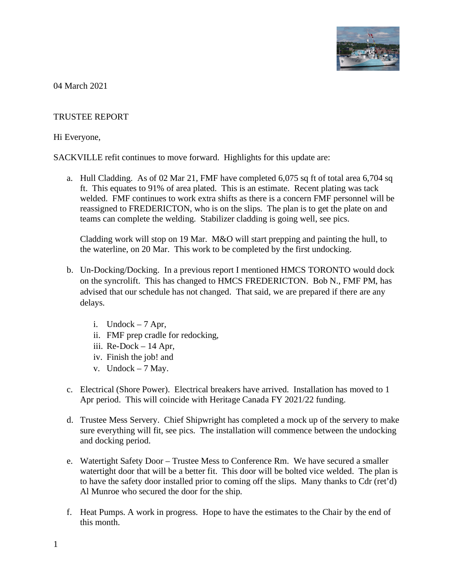

04 March 2021

## TRUSTEE REPORT

## Hi Everyone,

SACKVILLE refit continues to move forward. Highlights for this update are:

a. Hull Cladding. As of 02 Mar 21, FMF have completed 6,075 sq ft of total area 6,704 sq ft. This equates to 91% of area plated. This is an estimate. Recent plating was tack welded. FMF continues to work extra shifts as there is a concern FMF personnel will be reassigned to FREDERICTON, who is on the slips. The plan is to get the plate on and teams can complete the welding. Stabilizer cladding is going well, see pics.

Cladding work will stop on 19 Mar. M&O will start prepping and painting the hull, to the waterline, on 20 Mar. This work to be completed by the first undocking.

- b. Un-Docking/Docking. In a previous report I mentioned HMCS TORONTO would dock on the syncrolift. This has changed to HMCS FREDERICTON. Bob N., FMF PM, has advised that our schedule has not changed. That said, we are prepared if there are any delays.
	- i. Undock  $-7$  Apr,
	- ii. FMF prep cradle for redocking,
	- iii. Re-Dock 14 Apr,
	- iv. Finish the job! and
	- v. Undock 7 May.
- c. Electrical (Shore Power). Electrical breakers have arrived. Installation has moved to 1 Apr period. This will coincide with Heritage Canada FY 2021/22 funding.
- d. Trustee Mess Servery. Chief Shipwright has completed a mock up of the servery to make sure everything will fit, see pics. The installation will commence between the undocking and docking period.
- e. Watertight Safety Door Trustee Mess to Conference Rm. We have secured a smaller watertight door that will be a better fit. This door will be bolted vice welded. The plan is to have the safety door installed prior to coming off the slips. Many thanks to Cdr (ret'd) Al Munroe who secured the door for the ship.
- f. Heat Pumps. A work in progress. Hope to have the estimates to the Chair by the end of this month.